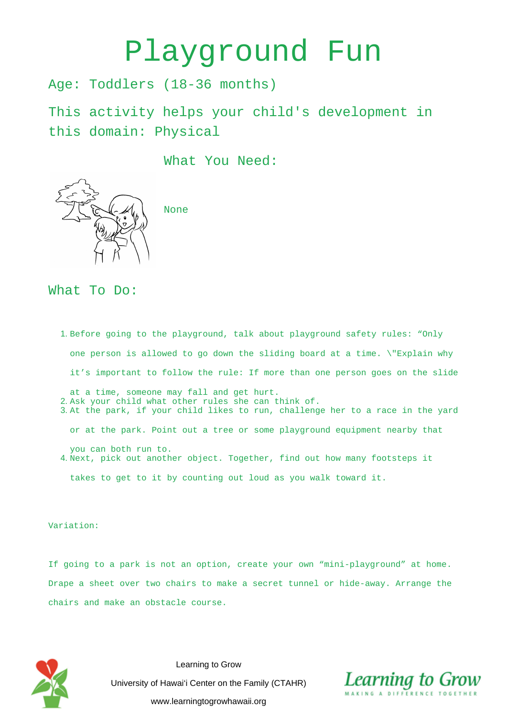## Playground Fun

Age: Toddlers (18-36 months)

This activity helps your child's development in this domain: Physical

What You Need:



None

## What To Do:

- 1. Before going to the playground, talk about playground safety rules: "Only one person is allowed to go down the sliding board at a time. \"Explain why it's important to follow the rule: If more than one person goes on the slide
- at a time, someone may fall and get hurt. 2. Ask your child what other rules she can think of.
- 3. At the park, if your child likes to run, challenge her to a race in the yard
	- or at the park. Point out a tree or some playground equipment nearby that
- you can both run to. 4. Next, pick out another object. Together, find out how many footsteps it

takes to get to it by counting out loud as you walk toward it.

## Variation:

If going to a park is not an option, create your own "mini-playground" at home. Drape a sheet over two chairs to make a secret tunnel or hide-away. Arrange the chairs and make an obstacle course.



Learning to Grow University of Hawai'i Center on the Family (CTAHR) www.learningtogrowhawaii.org